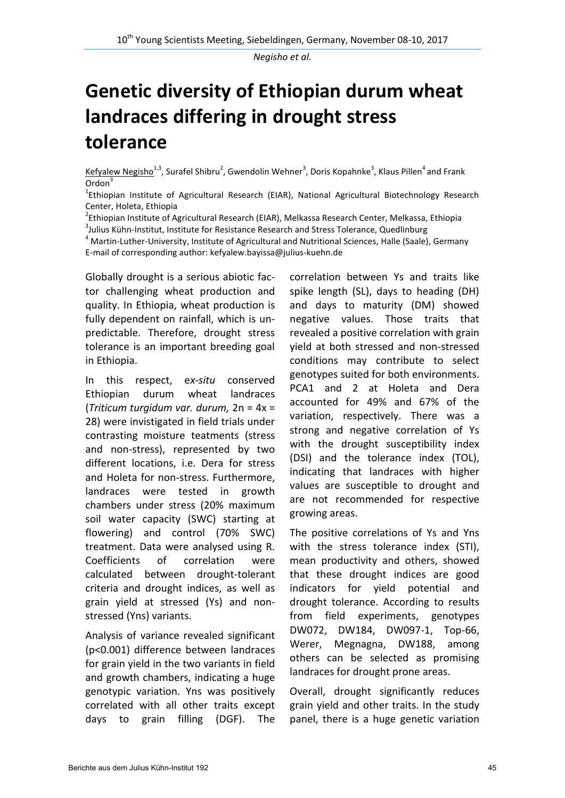*Negisho et al.* 

## **Genetic diversity of Ethiopian durum wheat landraces differing in drought stress tolerance**

Kefyalew Negisho<sup>1,3</sup>, Surafel Shibru<sup>2</sup>, Gwendolin Wehner<sup>3</sup>, Doris Kopahnke<sup>3</sup>, Klaus Pillen<sup>4</sup> and Frank Ordon<sup>3</sup>

<sup>1</sup>Ethiopian Institute of Agricultural Research (EIAR), National Agricultural Biotechnology Research Center, Holeta, Ethiopia

<sup>2</sup>Ethiopian Institute of Agricultural Research (EIAR), Melkassa Research Center, Melkassa, Ethiopia

<sup>3</sup>Julius Kühn-Institut, Institute for Resistance Research and Stress Tolerance, Quedlinburg

<sup>4</sup> Martin-Luther-University, Institute of Agricultural and Nutritional Sciences, Halle (Saale), Germany E-mail of corresponding author: kefyalew.bayissa@julius-kuehn.de

Globally drought is a serious abiotic factor challenging wheat production and quality. In Ethiopia, wheat production is fully dependent on rainfall, which is unpredictable. Therefore, drought stress tolerance is an important breeding goal in Ethiopia.

In this respect, e*x-situ* conserved Ethiopian durum wheat landraces (*Triticum turgidum var. durum,* 2n = 4x = 28) were invistigated in field trials under contrasting moisture teatments (stress and non-stress), represented by two different locations, i.e. Dera for stress and Holeta for non-stress. Furthermore, landraces were tested in growth chambers under stress (20% maximum soil water capacity (SWC) starting at flowering) and control (70% SWC) treatment. Data were analysed using R. Coefficients of correlation were calculated between drought-tolerant criteria and drought indices, as well as grain yield at stressed (Ys) and nonstressed (Yns) variants.

Analysis of variance revealed significant (p<0.001) difference between landraces for grain yield in the two variants in field and growth chambers, indicating a huge genotypic variation. Yns was positively correlated with all other traits except days to grain filling (DGF). The correlation between Ys and traits like spike length (SL), days to heading (DH) and days to maturity (DM) showed negative values. Those traits that revealed a positive correlation with grain yield at both stressed and non-stressed conditions may contribute to select genotypes suited for both environments. PCA1 and 2 at Holeta and Dera accounted for 49% and 67% of the variation, respectively. There was a strong and negative correlation of Ys with the drought susceptibility index (DSI) and the tolerance index (TOL), indicating that landraces with higher values are susceptible to drought and are not recommended for respective growing areas.

The positive correlations of Ys and Yns with the stress tolerance index (STI). mean productivity and others, showed that these drought indices are good indicators for yield potential and drought tolerance. According to results from field experiments, genotypes DW072, DW184, DW097-1, Top-66, Werer, Megnagna, DW188, among others can be selected as promising landraces for drought prone areas.

Overall, drought significantly reduces grain yield and other traits. In the study panel, there is a huge genetic variation